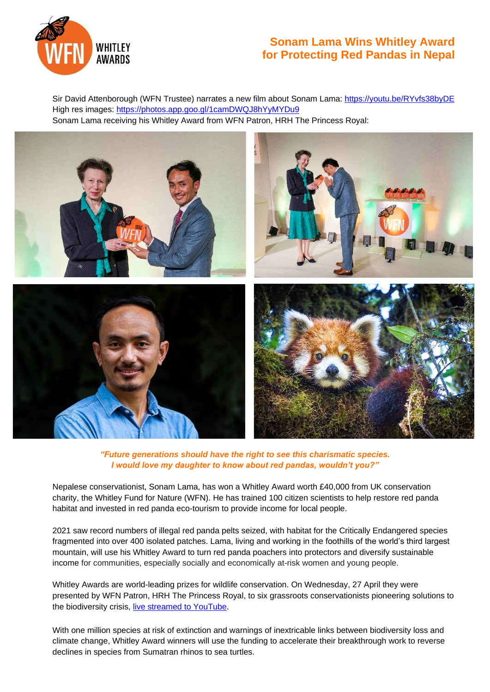

## **Sonam Lama Wins Whitley Award for Protecting Red Pandas in Nepal**

Sir David Attenborough (WFN Trustee) narrates a new film about Sonam Lama: <https://youtu.be/RYvfs38byDE> High res images: <https://photos.app.goo.gl/1camDWQJ8hYyMYDu9> Sonam Lama receiving his Whitley Award from WFN Patron, HRH The Princess Royal:



*"Future generations should have the right to see this charismatic species. I would love my daughter to know about red pandas, wouldn't you?"*

Nepalese conservationist, Sonam Lama, has won a Whitley Award worth £40,000 from UK conservation charity, the Whitley Fund for Nature (WFN). He has trained 100 citizen scientists to help restore red panda habitat and invested in red panda eco-tourism to provide income for local people.

2021 saw record numbers of illegal red panda pelts seized, with habitat for the Critically Endangered species fragmented into over 400 isolated patches. Lama, living and working in the foothills of the world's third largest mountain, will use his Whitley Award to turn red panda poachers into protectors and diversify sustainable income for communities, especially socially and economically at-risk women and young people.

Whitley Awards are world-leading prizes for wildlife conservation. On Wednesday, 27 April they were presented by WFN Patron, HRH The Princess Royal, to six grassroots conservationists pioneering solutions to the biodiversity crisis, [live streamed to YouTube.](https://www.youtube.com/whitleyawards)

With one million species at risk of extinction and warnings of inextricable links between biodiversity loss and climate change, Whitley Award winners will use the funding to accelerate their breakthrough work to reverse declines in species from Sumatran rhinos to sea turtles.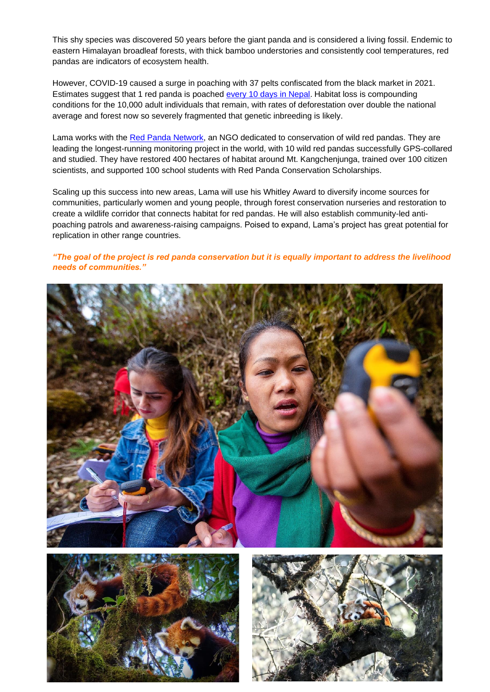This shy species was discovered 50 years before the giant panda and is considered a living fossil. Endemic to eastern Himalayan broadleaf forests, with thick bamboo understories and consistently cool temperatures, red pandas are indicators of ecosystem health.

However, COVID-19 caused a surge in poaching with 37 pelts confiscated from the black market in 2021. Estimates suggest that 1 red panda is poached [every 10 days](https://www.youtube.com/watch?v=R3R0jDmIem8) in Nepal. Habitat loss is compounding conditions for the 10,000 adult individuals that remain, with rates of deforestation over double the national average and forest now so severely fragmented that genetic inbreeding is likely.

Lama works with th[e Red Panda Network,](https://redpandanetwork.org/) an NGO dedicated to conservation of wild red pandas. They are leading the longest-running monitoring project in the world, with 10 wild red pandas successfully GPS-collared and studied. They have restored 400 hectares of habitat around Mt. Kangchenjunga, trained over 100 citizen scientists, and supported 100 school students with Red Panda Conservation Scholarships.

Scaling up this success into new areas, Lama will use his Whitley Award to diversify income sources for communities, particularly women and young people, through forest conservation nurseries and restoration to create a wildlife corridor that connects habitat for red pandas. He will also establish community-led antipoaching patrols and awareness-raising campaigns. Poised to expand, Lama's project has great potential for replication in other range countries.

## *"The goal of the project is red panda conservation but it is equally important to address the livelihood needs of communities."*